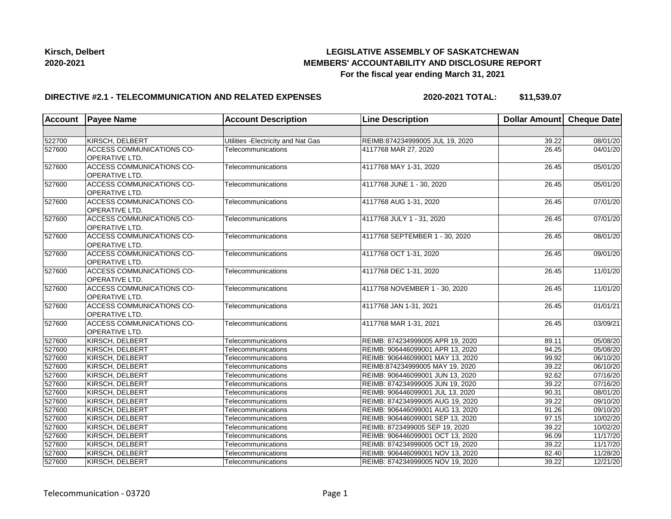

## **LEGISLATIVE ASSEMBLY OF SASKATCHEWAN MEMBERS' ACCOUNTABILITY AND DISCLOSURE REPORT For the fiscal year ending March 31, 2021**

## **DIRECTIVE #2.1 - TELECOMMUNICATION AND RELATED EXPENSES**

**2020-2021 TOTAL: \$11,539.07**

| <b>Account</b> | <b>Payee Name</b>                                         | <b>Account Description</b>          | <b>Line Description</b>          | Dollar Amount Cheque Date |          |
|----------------|-----------------------------------------------------------|-------------------------------------|----------------------------------|---------------------------|----------|
|                |                                                           |                                     |                                  |                           |          |
| 522700         | KIRSCH, DELBERT                                           | Utilities - Electricity and Nat Gas | REIMB:874234999005 JUL 19, 2020  | 39.22                     | 08/01/20 |
| 527600         | ACCESS COMMUNICATIONS CO-<br><b>OPERATIVE LTD.</b>        | Telecommunications                  | 4117768 MAR 27, 2020             | 26.45                     | 04/01/20 |
| 527600         | <b>ACCESS COMMUNICATIONS CO-</b><br>OPERATIVE LTD.        | Telecommunications                  | 4117768 MAY 1-31, 2020           | 26.45                     | 05/01/20 |
| 527600         | ACCESS COMMUNICATIONS CO-<br>OPERATIVE LTD.               | Telecommunications                  | 4117768 JUNE 1 - 30, 2020        | $\overline{26.45}$        | 05/01/20 |
| 527600         | ACCESS COMMUNICATIONS CO-<br>OPERATIVE LTD.               | Telecommunications                  | 4117768 AUG 1-31, 2020           | 26.45                     | 07/01/20 |
| 527600         | <b>ACCESS COMMUNICATIONS CO-</b><br>OPERATIVE LTD.        | Telecommunications                  | 4117768 JULY 1 - 31, 2020        | 26.45                     | 07/01/20 |
| 527600         | ACCESS COMMUNICATIONS CO-<br><b>OPERATIVE LTD.</b>        | Telecommunications                  | 4117768 SEPTEMBER 1 - 30, 2020   | 26.45                     | 08/01/20 |
| 527600         | <b>ACCESS COMMUNICATIONS CO-</b><br><b>OPERATIVE LTD.</b> | Telecommunications                  | 4117768 OCT 1-31, 2020           | 26.45                     | 09/01/20 |
| 527600         | <b>ACCESS COMMUNICATIONS CO-</b><br><b>OPERATIVE LTD.</b> | Telecommunications                  | 4117768 DEC 1-31, 2020           | 26.45                     | 11/01/20 |
| 527600         | ACCESS COMMUNICATIONS CO-<br><b>OPERATIVE LTD.</b>        | Telecommunications                  | 4117768 NOVEMBER 1 - 30, 2020    | 26.45                     | 11/01/20 |
| 527600         | <b>ACCESS COMMUNICATIONS CO-</b><br>OPERATIVE LTD.        | Telecommunications                  | 4117768 JAN 1-31, 2021           | 26.45                     | 01/01/21 |
| 527600         | <b>ACCESS COMMUNICATIONS CO-</b><br>OPERATIVE LTD.        | Telecommunications                  | 4117768 MAR 1-31, 2021           | 26.45                     | 03/09/21 |
| 527600         | KIRSCH, DELBERT                                           | Telecommunications                  | REIMB: 874234999005 APR 19, 2020 | 89.11                     | 05/08/20 |
| 527600         | KIRSCH, DELBERT                                           | Telecommunications                  | REIMB: 906446099001 APR 13, 2020 | 94.25                     | 05/08/20 |
| 527600         | KIRSCH, DELBERT                                           | Telecommunications                  | REIMB: 906446099001 MAY 13, 2020 | 99.92                     | 06/10/20 |
| 527600         | KIRSCH, DELBERT                                           | Telecommunications                  | REIMB:874234999005 MAY 19, 2020  | 39.22                     | 06/10/20 |
| 527600         | KIRSCH, DELBERT                                           | Telecommunications                  | REIMB: 906446099001 JUN 13, 2020 | 92.62                     | 07/16/20 |
| 527600         | KIRSCH, DELBERT                                           | Telecommunications                  | REIMB: 874234999005 JUN 19, 2020 | 39.22                     | 07/16/20 |
| 527600         | KIRSCH, DELBERT                                           | Telecommunications                  | REIMB: 906446099001 JUL 13, 2020 | 90.31                     | 08/01/20 |
| 527600         | KIRSCH, DELBERT                                           | Telecommunications                  | REIMB: 874234999005 AUG 19, 2020 | 39.22                     | 09/10/20 |
| 527600         | KIRSCH, DELBERT                                           | Telecommunications                  | REIMB: 906446099001 AUG 13, 2020 | 91.26                     | 09/10/20 |
| 527600         | KIRSCH, DELBERT                                           | Telecommunications                  | REIMB: 906446099001 SEP 13, 2020 | 97.15                     | 10/02/20 |
| 527600         | KIRSCH, DELBERT                                           | Telecommunications                  | REIMB: 8723499005 SEP 19, 2020   | 39.22                     | 10/02/20 |
| 527600         | KIRSCH, DELBERT                                           | Telecommunications                  | REIMB: 906446099001 OCT 13, 2020 | 96.09                     | 11/17/20 |
| 527600         | KIRSCH, DELBERT                                           | Telecommunications                  | REIMB: 874234999005 OCT 19, 2020 | 39.22                     | 11/17/20 |
| 527600         | KIRSCH, DELBERT                                           | Telecommunications                  | REIMB: 906446099001 NOV 13, 2020 | 82.40                     | 11/28/20 |
| 527600         | KIRSCH, DELBERT                                           | Telecommunications                  | REIMB: 874234999005 NOV 19, 2020 | 39.22                     | 12/21/20 |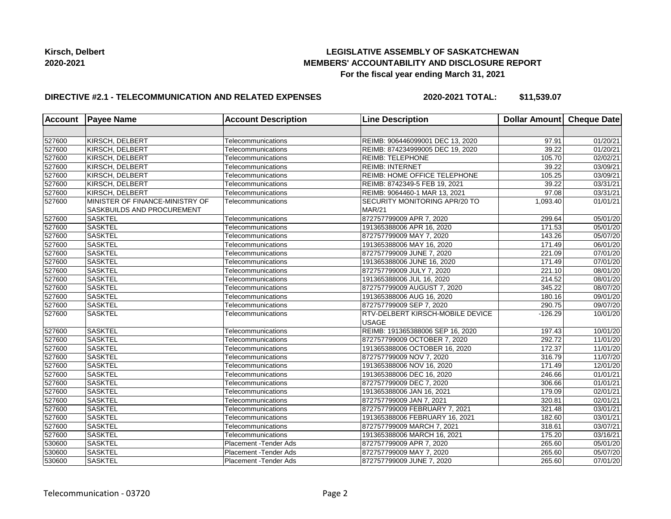## **LEGISLATIVE ASSEMBLY OF SASKATCHEWAN MEMBERS' ACCOUNTABILITY AND DISCLOSURE REPORT For the fiscal year ending March 31, 2021**

## **DIRECTIVE #2.1 - TELECOMMUNICATION AND RELATED EXPENSES**

**2020-2021 TOTAL: \$11,539.07**

| <b>Account</b> | <b>Payee Name</b>                                             | <b>Account Description</b>    | <b>Line Description</b>                 | Dollar Amount   Cheque Date |                       |
|----------------|---------------------------------------------------------------|-------------------------------|-----------------------------------------|-----------------------------|-----------------------|
|                |                                                               |                               |                                         |                             |                       |
| 527600         | KIRSCH, DELBERT                                               | Telecommunications            | REIMB: 906446099001 DEC 13, 2020        | 97.91                       | 01/20/21              |
| 527600         | KIRSCH, DELBERT                                               | Telecommunications            | REIMB: 874234999005 DEC 19, 2020        | 39.22                       | 01/20/21              |
| 527600         | KIRSCH, DELBERT                                               | Telecommunications            | <b>REIMB: TELEPHONE</b>                 | 105.70                      | 02/02/21              |
| 527600         | KIRSCH, DELBERT                                               | Telecommunications            | <b>REIMB: INTERNET</b>                  | 39.22                       | 03/09/21              |
| 527600         | KIRSCH, DELBERT                                               | Telecommunications            | <b>REIMB: HOME OFFICE TELEPHONE</b>     | 105.25                      | 03/09/21              |
| 527600         | KIRSCH, DELBERT                                               | Telecommunications            | REIMB: 8742349-5 FEB 19, 2021           | 39.22                       | 03/31/21              |
| 527600         | KIRSCH, DELBERT                                               | Telecommunications            | REIMB: 9064460-1 MAR 13, 2021           | 97.08                       | 03/31/21              |
| 527600         | MINISTER OF FINANCE-MINISTRY OF<br>SASKBUILDS AND PROCUREMENT | Telecommunications            | SECURITY MONITORING APR/20 TO<br>MAR/21 | 1,093.40                    | 01/01/21              |
| 527600         | <b>SASKTEL</b>                                                | Telecommunications            | 872757799009 APR 7, 2020                | 299.64                      | $\overline{05/0}1/20$ |
| 527600         | <b>SASKTEL</b>                                                | Telecommunications            | 191365388006 APR 16, 2020               | 171.53                      | 05/01/20              |
| 527600         | <b>SASKTEL</b>                                                | Telecommunications            | 872757799009 MAY 7, 2020                | 143.26                      | 05/07/20              |
| 527600         | <b>SASKTEL</b>                                                | Telecommunications            | 191365388006 MAY 16, 2020               | 171.49                      | 06/01/20              |
| 527600         | <b>SASKTEL</b>                                                | Telecommunications            | 872757799009 JUNE 7, 2020               | 221.09                      | 07/01/20              |
| 527600         | <b>SASKTEL</b>                                                | Telecommunications            | 191365388006 JUNE 16, 2020              | 171.49                      | 07/01/20              |
| 527600         | <b>SASKTEL</b>                                                | Telecommunications            | 872757799009 JULY 7, 2020               | 221.10                      | 08/01/20              |
| 527600         | <b>SASKTEL</b>                                                | Telecommunications            | 191365388006 JUL 16, 2020               | 214.52                      | 08/01/20              |
| 527600         | <b>SASKTEL</b>                                                | Telecommunications            | 872757799009 AUGUST 7, 2020             | 345.22                      | 08/07/20              |
| 527600         | <b>SASKTEL</b>                                                | Telecommunications            | 191365388006 AUG 16, 2020               | 180.16                      | 09/01/20              |
| 527600         | <b>SASKTEL</b>                                                | Telecommunications            | 872757799009 SEP 7, 2020                | 290.75                      | 09/07/20              |
| 527600         | <b>SASKTEL</b>                                                | Telecommunications            | RTV-DELBERT KIRSCH-MOBILE DEVICE        | $-126.29$                   | 10/01/20              |
|                |                                                               |                               | <b>USAGE</b>                            |                             |                       |
| 527600         | <b>SASKTEL</b>                                                | Telecommunications            | REIMB: 191365388006 SEP 16, 2020        | 197.43                      | 10/01/20              |
| 527600         | <b>SASKTEL</b>                                                | Telecommunications            | 872757799009 OCTOBER 7, 2020            | 292.72                      | $\overline{11}/01/20$ |
| 527600         | <b>SASKTEL</b>                                                | Telecommunications            | 191365388006 OCTOBER 16, 2020           | 172.37                      | 11/01/20              |
| 527600         | <b>SASKTEL</b>                                                | Telecommunications            | 872757799009 NOV 7, 2020                | 316.79                      | 11/07/20              |
| 527600         | <b>SASKTEL</b>                                                | Telecommunications            | 191365388006 NOV 16, 2020               | 171.49                      | 12/01/20              |
| 527600         | <b>SASKTEL</b>                                                | Telecommunications            | 191365388006 DEC 16, 2020               | 246.66                      | 01/01/21              |
| 527600         | <b>SASKTEL</b>                                                | Telecommunications            | 872757799009 DEC 7, 2020                | 306.66                      | 01/01/21              |
| 527600         | <b>SASKTEL</b>                                                | Telecommunications            | 191365388006 JAN 16, 2021               | 179.09                      | 02/01/21              |
| 527600         | <b>SASKTEL</b>                                                | Telecommunications            | 872757799009 JAN 7, 2021                | 320.81                      | 02/01/21              |
| 527600         | <b>SASKTEL</b>                                                | Telecommunications            | 872757799009 FEBRUARY 7, 2021           | 321.48                      | 03/01/21              |
| 527600         | <b>SASKTEL</b>                                                | Telecommunications            | 191365388006 FEBRUARY 16, 2021          | 182.60                      | 03/01/21              |
| 527600         | <b>SASKTEL</b>                                                | Telecommunications            | 872757799009 MARCH 7, 2021              | 318.61                      | 03/07/21              |
| 527600         | <b>SASKTEL</b>                                                | Telecommunications            | 191365388006 MARCH 16, 2021             | 175.20                      | 03/16/21              |
| 530600         | <b>SASKTEL</b>                                                | Placement - Tender Ads        | 872757799009 APR 7, 2020                | 265.60                      | 05/01/20              |
| 530600         | <b>SASKTEL</b>                                                | <b>Placement - Tender Ads</b> | 872757799009 MAY 7, 2020                | 265.60                      | 05/07/20              |
| 530600         | <b>SASKTEL</b>                                                | Placement - Tender Ads        | 872757799009 JUNE 7, 2020               | 265.60                      | 07/01/20              |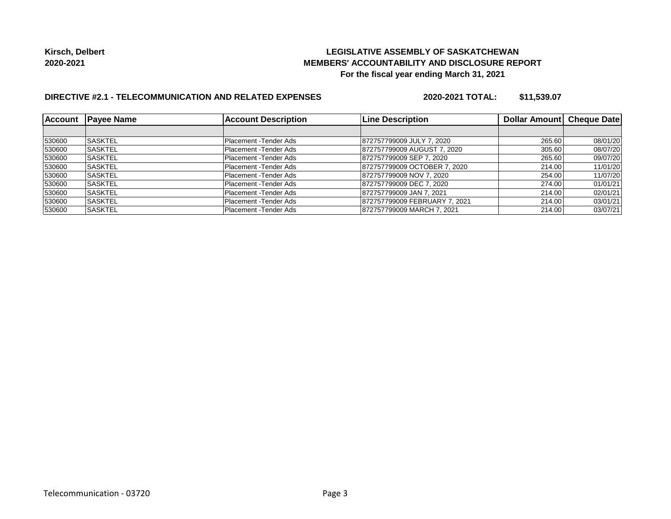## **LEGISLATIVE ASSEMBLY OF SASKATCHEWAN MEMBERS' ACCOUNTABILITY AND DISCLOSURE REPORT For the fiscal year ending March 31, 2021**

# **DIRECTIVE #2.1 - TELECOMMUNICATION AND RELATED EXPENSES**

**2020-2021 TOTAL: \$11,539.07**

| <b>Account</b> | <b>IPavee Name</b> | <b>Account Description</b> | <b>Line Description</b>       | Dollar Amount   Cheque Date |          |
|----------------|--------------------|----------------------------|-------------------------------|-----------------------------|----------|
|                |                    |                            |                               |                             |          |
| 530600         | <b>SASKTEL</b>     | Placement - Tender Ads     | 872757799009 JULY 7, 2020     | 265.60                      | 08/01/20 |
| 530600         | <b>ISASKTEL</b>    | Placement - Tender Ads     | 872757799009 AUGUST 7, 2020   | 305.60                      | 08/07/20 |
| 530600         | <b>SASKTEL</b>     | Placement - Tender Ads     | 872757799009 SEP 7, 2020      | 265.60                      | 09/07/20 |
| 530600         | <b>ISASKTEL</b>    | Placement - Tender Ads     | 872757799009 OCTOBER 7, 2020  | 214.00                      | 11/01/20 |
| 530600         | ISASKTEL           | Placement - Tender Ads     | 872757799009 NOV 7, 2020      | 254.00                      | 11/07/20 |
| 530600         | <b>SASKTEL</b>     | Placement - Tender Ads     | 872757799009 DEC 7, 2020      | 274.00                      | 01/01/21 |
| 530600         | <b>ISASKTEL</b>    | Placement - Tender Ads     | 872757799009 JAN 7, 2021      | 214.00                      | 02/01/21 |
| 530600         | <b>ISASKTEL</b>    | Placement -Tender Ads      | 872757799009 FEBRUARY 7, 2021 | 214.00                      | 03/01/21 |
| 530600         | <b>SASKTEL</b>     | Placement - Tender Ads     | 872757799009 MARCH 7, 2021    | 214.00                      | 03/07/21 |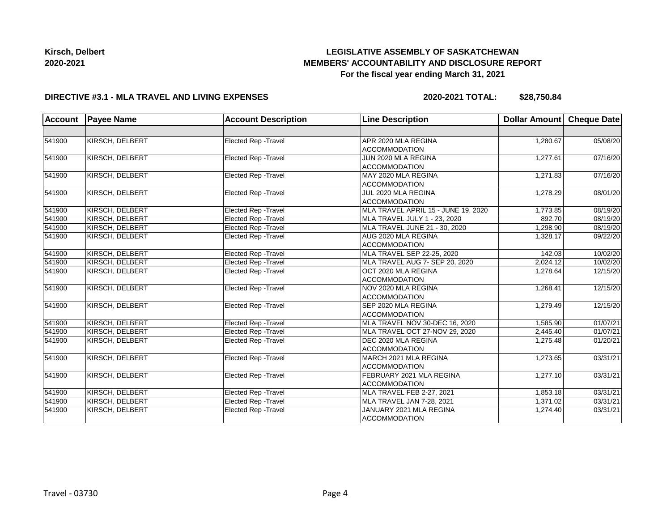# **LEGISLATIVE ASSEMBLY OF SASKATCHEWAN MEMBERS' ACCOUNTABILITY AND DISCLOSURE REPORT For the fiscal year ending March 31, 2021**

#### **DIRECTIVE #3.1 - MLA TRAVEL AND LIVING EXPENSES**

**2020-2021 TOTAL: \$28,750.84**

| <b>Account</b> | <b>Payee Name</b>      | <b>Account Description</b>  | <b>Line Description</b>                          | Dollar Amount | <b>Cheque Date</b>    |
|----------------|------------------------|-----------------------------|--------------------------------------------------|---------------|-----------------------|
|                |                        |                             |                                                  |               |                       |
| 541900         | KIRSCH, DELBERT        | Elected Rep - Travel        | APR 2020 MLA REGINA<br><b>ACCOMMODATION</b>      | 1,280.67      | 05/08/20              |
| 541900         | KIRSCH, DELBERT        | Elected Rep - Travel        | JUN 2020 MLA REGINA<br><b>ACCOMMODATION</b>      | 1,277.61      | 07/16/20              |
| 541900         | KIRSCH, DELBERT        | Elected Rep - Travel        | MAY 2020 MLA REGINA<br><b>ACCOMMODATION</b>      | 1,271.83      | 07/16/20              |
| 541900         | KIRSCH, DELBERT        | Elected Rep - Travel        | JUL 2020 MLA REGINA<br><b>ACCOMMODATION</b>      | 1,278.29      | 08/01/20              |
| 541900         | KIRSCH, DELBERT        | Elected Rep - Travel        | MLA TRAVEL APRIL 15 - JUNE 19, 2020              | 1,773.85      | 08/19/20              |
| 541900         | KIRSCH, DELBERT        | Elected Rep - Travel        | MLA TRAVEL JULY 1 - 23, 2020                     | 892.70        | 08/19/20              |
| 541900         | KIRSCH, DELBERT        | Elected Rep - Travel        | MLA TRAVEL JUNE 21 - 30, 2020                    | 1,298.90      | 08/19/20              |
| 541900         | <b>KIRSCH, DELBERT</b> | <b>Elected Rep - Travel</b> | AUG 2020 MLA REGINA<br><b>ACCOMMODATION</b>      | 1,328.17      | 09/22/20              |
| 541900         | KIRSCH, DELBERT        | <b>Elected Rep - Travel</b> | MLA TRAVEL SEP 22-25, 2020                       | 142.03        | 10/02/20              |
| 541900         | KIRSCH, DELBERT        | <b>Elected Rep - Travel</b> | MLA TRAVEL AUG 7- SEP 20, 2020                   | 2,024.12      | 10/02/20              |
| 541900         | KIRSCH, DELBERT        | <b>Elected Rep - Travel</b> | OCT 2020 MLA REGINA<br><b>ACCOMMODATION</b>      | 1,278.64      | 12/15/20              |
| 541900         | KIRSCH, DELBERT        | Elected Rep - Travel        | NOV 2020 MLA REGINA<br><b>ACCOMMODATION</b>      | 1,268.41      | 12/15/20              |
| 541900         | KIRSCH, DELBERT        | Elected Rep - Travel        | SEP 2020 MLA REGINA<br>ACCOMMODATION             | 1,279.49      | 12/15/20              |
| 541900         | KIRSCH, DELBERT        | Elected Rep - Travel        | MLA TRAVEL NOV 30-DEC 16, 2020                   | 1,585.90      | 01/07/21              |
| 541900         | KIRSCH, DELBERT        | Elected Rep - Travel        | MLA TRAVEL OCT 27-NOV 29, 2020                   | 2,445.40      | 01/07/21              |
| 541900         | <b>KIRSCH, DELBERT</b> | Elected Rep - Travel        | DEC 2020 MLA REGINA<br><b>ACCOMMODATION</b>      | 1,275.48      | 01/20/21              |
| 541900         | KIRSCH, DELBERT        | Elected Rep - Travel        | MARCH 2021 MLA REGINA<br><b>ACCOMMODATION</b>    | 1,273.65      | 03/31/21              |
| 541900         | KIRSCH, DELBERT        | Elected Rep - Travel        | FEBRUARY 2021 MLA REGINA<br><b>ACCOMMODATION</b> | 1,277.10      | 03/31/21              |
| 541900         | KIRSCH, DELBERT        | <b>Elected Rep - Travel</b> | MLA TRAVEL FEB 2-27, 2021                        | 1.853.18      | 03/31/21              |
| 541900         | KIRSCH, DELBERT        | Elected Rep - Travel        | MLA TRAVEL JAN 7-28, 2021                        | 1,371.02      | $\overline{03/3}1/21$ |
| 541900         | KIRSCH, DELBERT        | Elected Rep - Travel        | JANUARY 2021 MLA REGINA<br><b>ACCOMMODATION</b>  | 1,274.40      | 03/31/21              |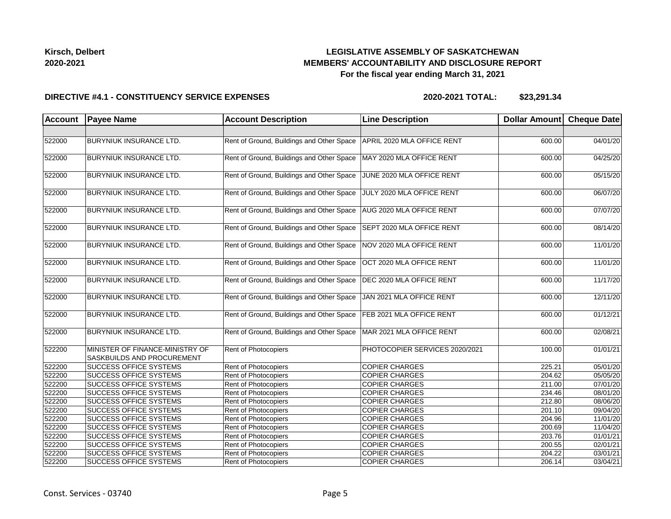## **LEGISLATIVE ASSEMBLY OF SASKATCHEWAN MEMBERS' ACCOUNTABILITY AND DISCLOSURE REPORT For the fiscal year ending March 31, 2021**

#### **DIRECTIVE #4.1 - CONSTITUENCY SERVICE EXPENSES**

| <b>Account</b> | <b>Payee Name</b>                                                    | <b>Account Description</b>                | <b>Line Description</b>        | Dollar Amount Cheque Date |          |
|----------------|----------------------------------------------------------------------|-------------------------------------------|--------------------------------|---------------------------|----------|
|                |                                                                      |                                           |                                |                           |          |
| 522000         | BURYNIUK INSURANCE LTD.                                              | Rent of Ground, Buildings and Other Space | APRIL 2020 MLA OFFICE RENT     | 600.00                    | 04/01/20 |
| 522000         | BURYNIUK INSURANCE LTD.                                              | Rent of Ground, Buildings and Other Space | MAY 2020 MLA OFFICE RENT       | 600.00                    | 04/25/20 |
| 522000         | BURYNIUK INSURANCE LTD.                                              | Rent of Ground, Buildings and Other Space | JUNE 2020 MLA OFFICE RENT      | 600.00                    | 05/15/20 |
| 522000         | <b>BURYNIUK INSURANCE LTD.</b>                                       | Rent of Ground, Buildings and Other Space | JULY 2020 MLA OFFICE RENT      | 600.00                    | 06/07/20 |
| 522000         | <b>BURYNIUK INSURANCE LTD.</b>                                       | Rent of Ground, Buildings and Other Space | AUG 2020 MLA OFFICE RENT       | 600.00                    | 07/07/20 |
| 522000         | BURYNIUK INSURANCE LTD.                                              | Rent of Ground, Buildings and Other Space | SEPT 2020 MLA OFFICE RENT      | 600.00                    | 08/14/20 |
| 522000         | BURYNIUK INSURANCE LTD.                                              | Rent of Ground, Buildings and Other Space | NOV 2020 MLA OFFICE RENT       | 600.00                    | 11/01/20 |
| 522000         | <b>BURYNIUK INSURANCE LTD.</b>                                       | Rent of Ground, Buildings and Other Space | OCT 2020 MLA OFFICE RENT       | 600.00                    | 11/01/20 |
| 522000         | BURYNIUK INSURANCE LTD.                                              | Rent of Ground, Buildings and Other Space | DEC 2020 MLA OFFICE RENT       | 600.00                    | 11/17/20 |
| 522000         | <b>BURYNIUK INSURANCE LTD.</b>                                       | Rent of Ground, Buildings and Other Space | JAN 2021 MLA OFFICE RENT       | 600.00                    | 12/11/20 |
| 522000         | BURYNIUK INSURANCE LTD.                                              | Rent of Ground, Buildings and Other Space | FEB 2021 MLA OFFICE RENT       | 600.00                    | 01/12/21 |
| 522000         | BURYNIUK INSURANCE LTD.                                              | Rent of Ground, Buildings and Other Space | MAR 2021 MLA OFFICE RENT       | 600.00                    | 02/08/21 |
| 522200         | MINISTER OF FINANCE-MINISTRY OF<br><b>SASKBUILDS AND PROCUREMENT</b> | Rent of Photocopiers                      | PHOTOCOPIER SERVICES 2020/2021 | 100.00                    | 01/01/21 |
| 522200         | <b>SUCCESS OFFICE SYSTEMS</b>                                        | Rent of Photocopiers                      | <b>COPIER CHARGES</b>          | 225.21                    | 05/01/20 |
| 522200         | <b>SUCCESS OFFICE SYSTEMS</b>                                        | <b>Rent of Photocopiers</b>               | <b>COPIER CHARGES</b>          | 204.62                    | 05/05/20 |
| 522200         | <b>SUCCESS OFFICE SYSTEMS</b>                                        | <b>Rent of Photocopiers</b>               | <b>COPIER CHARGES</b>          | 211.00                    | 07/01/20 |
| 522200         | <b>SUCCESS OFFICE SYSTEMS</b>                                        | <b>Rent of Photocopiers</b>               | <b>COPIER CHARGES</b>          | 234.46                    | 08/01/20 |
| 522200         | <b>SUCCESS OFFICE SYSTEMS</b>                                        | Rent of Photocopiers                      | <b>COPIER CHARGES</b>          | 212.80                    | 08/06/20 |
| 522200         | <b>SUCCESS OFFICE SYSTEMS</b>                                        | Rent of Photocopiers                      | <b>COPIER CHARGES</b>          | 201.10                    | 09/04/20 |
| 522200         | <b>SUCCESS OFFICE SYSTEMS</b>                                        | Rent of Photocopiers                      | <b>COPIER CHARGES</b>          | 204.96                    | 11/01/20 |
| 522200         | <b>SUCCESS OFFICE SYSTEMS</b>                                        | Rent of Photocopiers                      | <b>COPIER CHARGES</b>          | 200.69                    | 11/04/20 |
| 522200         | <b>SUCCESS OFFICE SYSTEMS</b>                                        | Rent of Photocopiers                      | <b>COPIER CHARGES</b>          | 203.76                    | 01/01/21 |
| 522200         | <b>SUCCESS OFFICE SYSTEMS</b>                                        | Rent of Photocopiers                      | <b>COPIER CHARGES</b>          | 200.55                    | 02/01/21 |
| 522200         | <b>SUCCESS OFFICE SYSTEMS</b>                                        | Rent of Photocopiers                      | <b>COPIER CHARGES</b>          | 204.22                    | 03/01/21 |
| 522200         | <b>SUCCESS OFFICE SYSTEMS</b>                                        | Rent of Photocopiers                      | <b>COPIER CHARGES</b>          | 206.14                    | 03/04/21 |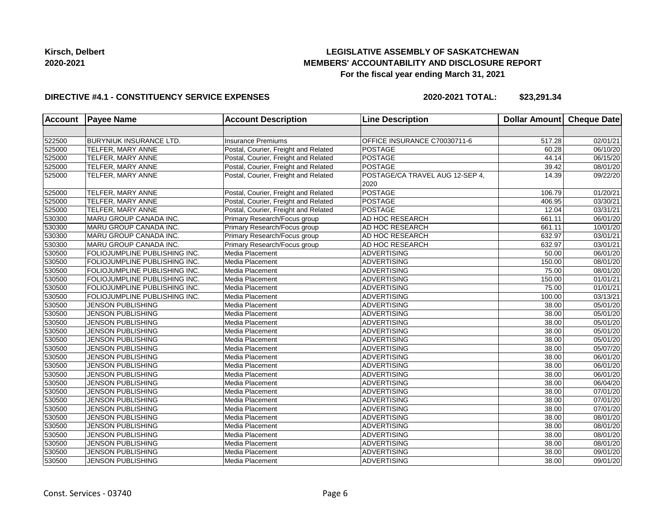## **LEGISLATIVE ASSEMBLY OF SASKATCHEWAN MEMBERS' ACCOUNTABILITY AND DISCLOSURE REPORT For the fiscal year ending March 31, 2021**

#### **DIRECTIVE #4.1 - CONSTITUENCY SERVICE EXPENSES**

| <b>Account</b> | <b>Payee Name</b>              | <b>Account Description</b>           | <b>Line Description</b>                 | Dollar Amount Cheque Date |                       |
|----------------|--------------------------------|--------------------------------------|-----------------------------------------|---------------------------|-----------------------|
|                |                                |                                      |                                         |                           |                       |
| 522500         | <b>BURYNIUK INSURANCE LTD.</b> | <b>Insurance Premiums</b>            | OFFICE INSURANCE C70030711-6            | 517.28                    | 02/01/21              |
| 525000         | TELFER, MARY ANNE              | Postal, Courier, Freight and Related | POSTAGE                                 | 60.28                     | 06/10/20              |
| 525000         | TELFER, MARY ANNE              | Postal, Courier, Freight and Related | POSTAGE                                 | 44.14                     | 06/15/20              |
| 525000         | TELFER, MARY ANNE              | Postal, Courier, Freight and Related | POSTAGE                                 | 39.42                     | 08/01/20              |
| 525000         | TELFER, MARY ANNE              | Postal, Courier, Freight and Related | POSTAGE/CA TRAVEL AUG 12-SEP 4,<br>2020 | 14.39                     | 09/22/20              |
| 525000         | TELFER, MARY ANNE              | Postal, Courier, Freight and Related | POSTAGE                                 | 106.79                    | 01/20/21              |
| 525000         | TELFER, MARY ANNE              | Postal, Courier, Freight and Related | <b>POSTAGE</b>                          | 406.95                    | 03/30/21              |
| 525000         | TELFER, MARY ANNE              | Postal, Courier, Freight and Related | POSTAGE                                 | 12.04                     | 03/31/21              |
| 530300         | MARU GROUP CANADA INC.         | Primary Research/Focus group         | AD HOC RESEARCH                         | 661.11                    | 06/01/20              |
| 530300         | MARU GROUP CANADA INC.         | Primary Research/Focus group         | AD HOC RESEARCH                         | 661.11                    | 10/01/20              |
| 530300         | MARU GROUP CANADA INC.         | Primary Research/Focus group         | AD HOC RESEARCH                         | 632.97                    | 03/01/21              |
| 530300         | MARU GROUP CANADA INC.         | Primary Research/Focus group         | AD HOC RESEARCH                         | 632.97                    | 03/01/21              |
| 530500         | FOLIOJUMPLINE PUBLISHING INC.  | Media Placement                      | <b>ADVERTISING</b>                      | 50.00                     | 06/01/20              |
| 530500         | FOLIOJUMPLINE PUBLISHING INC.  | Media Placement                      | ADVERTISING                             | 150.00                    | 08/01/20              |
| 530500         | FOLIOJUMPLINE PUBLISHING INC.  | Media Placement                      | <b>ADVERTISING</b>                      | 75.00                     | 08/01/20              |
| 530500         | FOLIOJUMPLINE PUBLISHING INC.  | Media Placement                      | <b>ADVERTISING</b>                      | 150.00                    | $\overline{01/01/21}$ |
| 530500         | FOLIOJUMPLINE PUBLISHING INC.  | Media Placement                      | <b>ADVERTISING</b>                      | 75.00                     | 01/01/21              |
| 530500         | FOLIOJUMPLINE PUBLISHING INC.  | Media Placement                      | <b>ADVERTISING</b>                      | 100.00                    | 03/13/21              |
| 530500         | <b>JENSON PUBLISHING</b>       | Media Placement                      | ADVERTISING                             | 38.00                     | 05/01/20              |
| 530500         | <b>JENSON PUBLISHING</b>       | Media Placement                      | <b>ADVERTISING</b>                      | 38.00                     | 05/01/20              |
| 530500         | <b>JENSON PUBLISHING</b>       | Media Placement                      | <b>ADVERTISING</b>                      | 38.00                     | 05/01/20              |
| 530500         | <b>JENSON PUBLISHING</b>       | Media Placement                      | <b>ADVERTISING</b>                      | 38.00                     | 05/01/20              |
| 530500         | JENSON PUBLISHING              | Media Placement                      | <b>ADVERTISING</b>                      | 38.00                     | 05/01/20              |
| 530500         | <b>JENSON PUBLISHING</b>       | Media Placement                      | ADVERTISING                             | 38.00                     | 05/07/20              |
| 530500         | <b>JENSON PUBLISHING</b>       | Media Placement                      | ADVERTISING                             | 38.00                     | 06/01/20              |
| 530500         | <b>JENSON PUBLISHING</b>       | Media Placement                      | ADVERTISING                             | 38.00                     | 06/01/20              |
| 530500         | <b>JENSON PUBLISHING</b>       | Media Placement                      | <b>ADVERTISING</b>                      | 38.00                     | 06/01/20              |
| 530500         | <b>JENSON PUBLISHING</b>       | Media Placement                      | <b>ADVERTISING</b>                      | 38.00                     | 06/04/20              |
| 530500         | JENSON PUBLISHING              | Media Placement                      | <b>ADVERTISING</b>                      | 38.00                     | 07/01/20              |
| 530500         | <b>JENSON PUBLISHING</b>       | Media Placement                      | <b>ADVERTISING</b>                      | 38.00                     | 07/01/20              |
| 530500         | <b>JENSON PUBLISHING</b>       | Media Placement                      | ADVERTISING                             | 38.00                     | $\overline{07/01/20}$ |
| 530500         | <b>JENSON PUBLISHING</b>       | Media Placement                      | ADVERTISING                             | 38.00                     | 08/01/20              |
| 530500         | <b>JENSON PUBLISHING</b>       | Media Placement                      | <b>ADVERTISING</b>                      | 38.00                     | 08/01/20              |
| 530500         | <b>JENSON PUBLISHING</b>       | Media Placement                      | <b>ADVERTISING</b>                      | 38.00                     | 08/01/20              |
| 530500         | JENSON PUBLISHING              | Media Placement                      | <b>ADVERTISING</b>                      | 38.00                     | 08/01/20              |
| 530500         | <b>JENSON PUBLISHING</b>       | Media Placement                      | <b>ADVERTISING</b>                      | 38.00                     | 09/01/20              |
| 530500         | <b>JENSON PUBLISHING</b>       | Media Placement                      | ADVERTISING                             | 38.00                     | 09/01/20              |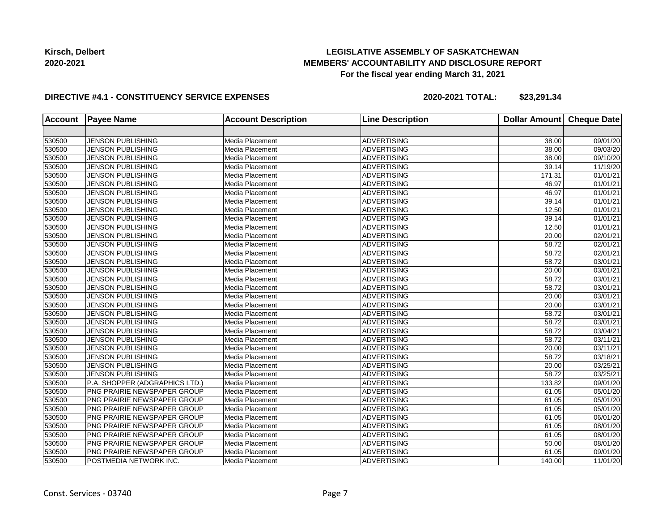## **LEGISLATIVE ASSEMBLY OF SASKATCHEWAN MEMBERS' ACCOUNTABILITY AND DISCLOSURE REPORT For the fiscal year ending March 31, 2021**

#### **DIRECTIVE #4.1 - CONSTITUENCY SERVICE EXPENSES**

| <b>Account</b> | <b>Payee Name</b>                  | <b>Account Description</b> | <b>Line Description</b> | <b>Dollar Amount</b> | <b>Cheque Date</b>    |
|----------------|------------------------------------|----------------------------|-------------------------|----------------------|-----------------------|
|                |                                    |                            |                         |                      |                       |
| 530500         | JENSON PUBLISHING                  | Media Placement            | <b>ADVERTISING</b>      | 38.00                | 09/01/20              |
| 530500         | <b>JENSON PUBLISHING</b>           | Media Placement            | <b>ADVERTISING</b>      | 38.00                | 09/03/20              |
| 530500         | <b>JENSON PUBLISHING</b>           | Media Placement            | <b>ADVERTISING</b>      | 38.00                | 09/10/20              |
| 530500         | <b>JENSON PUBLISHING</b>           | Media Placement            | <b>ADVERTISING</b>      | 39.14                | 11/19/20              |
| 530500         | <b>JENSON PUBLISHING</b>           | Media Placement            | <b>ADVERTISING</b>      | 171.31               | 01/01/21              |
| 530500         | <b>JENSON PUBLISHING</b>           | Media Placement            | <b>ADVERTISING</b>      | 46.97                | 01/01/21              |
| 530500         | <b>JENSON PUBLISHING</b>           | Media Placement            | <b>ADVERTISING</b>      | 46.97                | 01/01/21              |
| 530500         | <b>JENSON PUBLISHING</b>           | Media Placement            | <b>ADVERTISING</b>      | 39.14                | 01/01/21              |
| 530500         | <b>JENSON PUBLISHING</b>           | Media Placement            | <b>ADVERTISING</b>      | 12.50                | 01/01/21              |
| 530500         | JENSON PUBLISHING                  | Media Placement            | <b>ADVERTISING</b>      | 39.14                | 01/01/21              |
| 530500         | <b>JENSON PUBLISHING</b>           | Media Placement            | <b>ADVERTISING</b>      | 12.50                | 01/01/21              |
| 530500         | JENSON PUBLISHING                  | Media Placement            | <b>ADVERTISING</b>      | 20.00                | 02/01/21              |
| 530500         | <b>JENSON PUBLISHING</b>           | Media Placement            | <b>ADVERTISING</b>      | 58.72                | 02/01/21              |
| 530500         | <b>JENSON PUBLISHING</b>           | Media Placement            | <b>ADVERTISING</b>      | 58.72                | 02/01/21              |
| 530500         | <b>JENSON PUBLISHING</b>           | Media Placement            | <b>ADVERTISING</b>      | 58.72                | 03/01/21              |
| 530500         | <b>JENSON PUBLISHING</b>           | Media Placement            | ADVERTISING             | 20.00                | 03/01/21              |
| 530500         | <b>JENSON PUBLISHING</b>           | Media Placement            | <b>ADVERTISING</b>      | 58.72                | 03/01/21              |
| 530500         | <b>JENSON PUBLISHING</b>           | Media Placement            | <b>ADVERTISING</b>      | 58.72                | $\overline{03}/01/21$ |
| 530500         | JENSON PUBLISHING                  | Media Placement            | <b>ADVERTISING</b>      | 20.00                | 03/01/21              |
| 530500         | <b>JENSON PUBLISHING</b>           | Media Placement            | <b>ADVERTISING</b>      | 20.00                | 03/01/21              |
| 530500         | <b>JENSON PUBLISHING</b>           | Media Placement            | <b>ADVERTISING</b>      | 58.72                | 03/01/21              |
| 530500         | <b>JENSON PUBLISHING</b>           | Media Placement            | <b>ADVERTISING</b>      | 58.72                | 03/01/21              |
| 530500         | <b>JENSON PUBLISHING</b>           | Media Placement            | <b>ADVERTISING</b>      | 58.72                | 03/04/21              |
| 530500         | <b>JENSON PUBLISHING</b>           | Media Placement            | <b>ADVERTISING</b>      | 58.72                | 03/11/21              |
| 530500         | <b>JENSON PUBLISHING</b>           | Media Placement            | <b>ADVERTISING</b>      | 20.00                | 03/11/21              |
| 530500         | <b>JENSON PUBLISHING</b>           | Media Placement            | <b>ADVERTISING</b>      | 58.72                | 03/18/21              |
| 530500         | <b>JENSON PUBLISHING</b>           | Media Placement            | <b>ADVERTISING</b>      | 20.00                | 03/25/21              |
| 530500         | <b>JENSON PUBLISHING</b>           | Media Placement            | <b>ADVERTISING</b>      | 58.72                | 03/25/21              |
| 530500         | P.A. SHOPPER (ADGRAPHICS LTD.)     | Media Placement            | <b>ADVERTISING</b>      | 133.82               | 09/01/20              |
| 530500         | PNG PRAIRIE NEWSPAPER GROUP        | Media Placement            | <b>ADVERTISING</b>      | 61.05                | 05/01/20              |
| 530500         | PNG PRAIRIE NEWSPAPER GROUP        | Media Placement            | <b>ADVERTISING</b>      | 61.05                | 05/01/20              |
| 530500         | PNG PRAIRIE NEWSPAPER GROUP        | Media Placement            | <b>ADVERTISING</b>      | 61.05                | 05/01/20              |
| 530500         | PNG PRAIRIE NEWSPAPER GROUP        | Media Placement            | ADVERTISING             | 61.05                | 06/01/20              |
| 530500         | PNG PRAIRIE NEWSPAPER GROUP        | Media Placement            | <b>ADVERTISING</b>      | 61.05                | 08/01/20              |
| 530500         | PNG PRAIRIE NEWSPAPER GROUP        | Media Placement            | <b>ADVERTISING</b>      | 61.05                | 08/01/20              |
| 530500         | PNG PRAIRIE NEWSPAPER GROUP        | Media Placement            | <b>ADVERTISING</b>      | 50.00                | 08/01/20              |
| 530500         | <b>PNG PRAIRIE NEWSPAPER GROUP</b> | Media Placement            | <b>ADVERTISING</b>      | 61.05                | 09/01/20              |
| 530500         | POSTMEDIA NETWORK INC.             | Media Placement            | <b>ADVERTISING</b>      | 140.00               | 11/01/20              |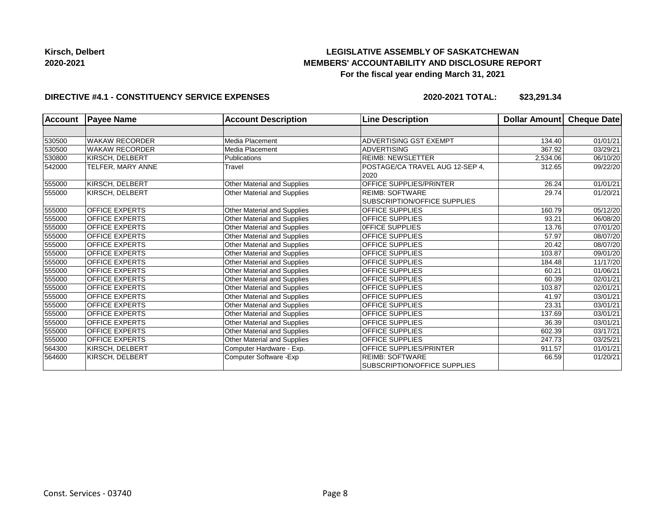# **LEGISLATIVE ASSEMBLY OF SASKATCHEWAN MEMBERS' ACCOUNTABILITY AND DISCLOSURE REPORT For the fiscal year ending March 31, 2021**

#### **DIRECTIVE #4.1 - CONSTITUENCY SERVICE EXPENSES**

| <b>Account</b> | <b>Payee Name</b>     | <b>Account Description</b>  | <b>Line Description</b>                 | Dollar Amount | Cheque Date |
|----------------|-----------------------|-----------------------------|-----------------------------------------|---------------|-------------|
|                |                       |                             |                                         |               |             |
| 530500         | <b>WAKAW RECORDER</b> | Media Placement             | <b>ADVERTISING GST EXEMPT</b>           | 134.40        | 01/01/21    |
| 530500         | <b>WAKAW RECORDER</b> | Media Placement             | <b>ADVERTISING</b>                      | 367.92        | 03/29/21    |
| 530800         | KIRSCH, DELBERT       | <b>Publications</b>         | <b>REIMB: NEWSLETTER</b>                | 2,534.06      | 06/10/20    |
| 542000         | TELFER, MARY ANNE     | Travel                      | POSTAGE/CA TRAVEL AUG 12-SEP 4,<br>2020 | 312.65        | 09/22/20    |
| 555000         | KIRSCH, DELBERT       | Other Material and Supplies | <b>OFFICE SUPPLIES/PRINTER</b>          | 26.24         | 01/01/21    |
| 555000         | KIRSCH, DELBERT       | Other Material and Supplies | <b>REIMB: SOFTWARE</b>                  | 29.74         | 01/20/21    |
|                |                       |                             | <b>SUBSCRIPTION/OFFICE SUPPLIES</b>     |               |             |
| 555000         | <b>OFFICE EXPERTS</b> | Other Material and Supplies | <b>OFFICE SUPPLIES</b>                  | 160.79        | 05/12/20    |
| 555000         | <b>OFFICE EXPERTS</b> | Other Material and Supplies | <b>OFFICE SUPPLIES</b>                  | 93.21         | 06/08/20    |
| 555000         | <b>OFFICE EXPERTS</b> | Other Material and Supplies | OFFICE SUPPLIES                         | 13.76         | 07/01/20    |
| 555000         | <b>OFFICE EXPERTS</b> | Other Material and Supplies | <b>OFFICE SUPPLIES</b>                  | 57.97         | 08/07/20    |
| 555000         | <b>OFFICE EXPERTS</b> | Other Material and Supplies | <b>OFFICE SUPPLIES</b>                  | 20.42         | 08/07/20    |
| 555000         | <b>OFFICE EXPERTS</b> | Other Material and Supplies | <b>OFFICE SUPPLIES</b>                  | 103.87        | 09/01/20    |
| 555000         | <b>OFFICE EXPERTS</b> | Other Material and Supplies | <b>OFFICE SUPPLIES</b>                  | 184.48        | 11/17/20    |
| 555000         | <b>OFFICE EXPERTS</b> | Other Material and Supplies | <b>OFFICE SUPPLIES</b>                  | 60.21         | 01/06/21    |
| 555000         | <b>OFFICE EXPERTS</b> | Other Material and Supplies | <b>OFFICE SUPPLIES</b>                  | 60.39         | 02/01/21    |
| 555000         | <b>OFFICE EXPERTS</b> | Other Material and Supplies | <b>OFFICE SUPPLIES</b>                  | 103.87        | 02/01/21    |
| 555000         | <b>OFFICE EXPERTS</b> | Other Material and Supplies | <b>OFFICE SUPPLIES</b>                  | 41.97         | 03/01/21    |
| 555000         | <b>OFFICE EXPERTS</b> | Other Material and Supplies | <b>OFFICE SUPPLIES</b>                  | 23.31         | 03/01/21    |
| 555000         | <b>OFFICE EXPERTS</b> | Other Material and Supplies | <b>OFFICE SUPPLIES</b>                  | 137.69        | 03/01/21    |
| 555000         | <b>OFFICE EXPERTS</b> | Other Material and Supplies | <b>OFFICE SUPPLIES</b>                  | 36.39         | 03/01/21    |
| 555000         | <b>OFFICE EXPERTS</b> | Other Material and Supplies | <b>OFFICE SUPPLIES</b>                  | 602.39        | 03/17/21    |
| 555000         | <b>OFFICE EXPERTS</b> | Other Material and Supplies | <b>OFFICE SUPPLIES</b>                  | 247.73        | 03/25/21    |
| 564300         | KIRSCH, DELBERT       | Computer Hardware - Exp.    | <b>OFFICE SUPPLIES/PRINTER</b>          | 911.57        | 01/01/21    |
| 564600         | KIRSCH, DELBERT       | Computer Software - Exp     | <b>REIMB: SOFTWARE</b>                  | 66.59         | 01/20/21    |
|                |                       |                             | SUBSCRIPTION/OFFICE SUPPLIES            |               |             |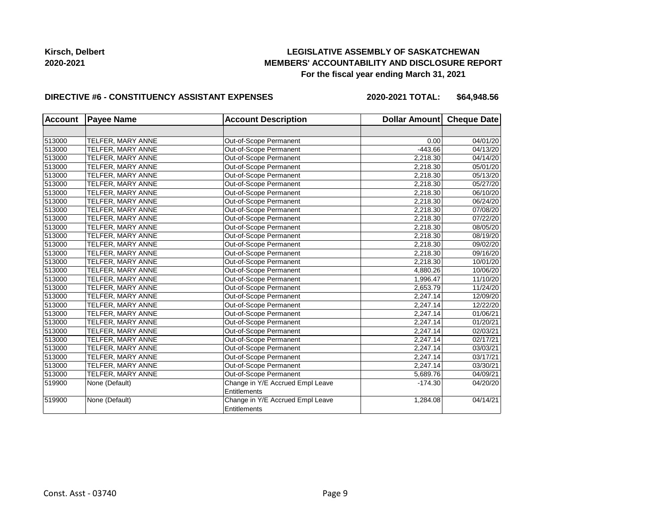## **LEGISLATIVE ASSEMBLY OF SASKATCHEWAN MEMBERS' ACCOUNTABILITY AND DISCLOSURE REPORT For the fiscal year ending March 31, 2021**

#### **DIRECTIVE #6 - CONSTITUENCY ASSISTANT EXPENSES**

**2020-2021 TOTAL: \$64,948.56**

| <b>Account</b> | <b>Payee Name</b> | <b>Account Description</b>       | Dollar Amount Cheque Date |          |
|----------------|-------------------|----------------------------------|---------------------------|----------|
|                |                   |                                  |                           |          |
| 513000         | TELFER, MARY ANNE | Out-of-Scope Permanent           | 0.00                      | 04/01/20 |
| 513000         | TELFER, MARY ANNE | Out-of-Scope Permanent           | $-443.66$                 | 04/13/20 |
| 513000         | TELFER, MARY ANNE | Out-of-Scope Permanent           | 2.218.30                  | 04/14/20 |
| 513000         | TELFER, MARY ANNE | Out-of-Scope Permanent           | 2,218.30                  | 05/01/20 |
| 513000         | TELFER, MARY ANNE | Out-of-Scope Permanent           | 2,218.30                  | 05/13/20 |
| 513000         | TELFER, MARY ANNE | Out-of-Scope Permanent           | 2,218.30                  | 05/27/20 |
| 513000         | TELFER, MARY ANNE | Out-of-Scope Permanent           | 2,218.30                  | 06/10/20 |
| 513000         | TELFER, MARY ANNE | Out-of-Scope Permanent           | 2,218.30                  | 06/24/20 |
| 513000         | TELFER, MARY ANNE | Out-of-Scope Permanent           | 2,218.30                  | 07/08/20 |
| 513000         | TELFER, MARY ANNE | Out-of-Scope Permanent           | 2,218.30                  | 07/22/20 |
| 513000         | TELFER, MARY ANNE | Out-of-Scope Permanent           | 2,218.30                  | 08/05/20 |
| 513000         | TELFER, MARY ANNE | Out-of-Scope Permanent           | 2,218.30                  | 08/19/20 |
| 513000         | TELFER, MARY ANNE | Out-of-Scope Permanent           | 2,218.30                  | 09/02/20 |
| 513000         | TELFER, MARY ANNE | Out-of-Scope Permanent           | 2,218.30                  | 09/16/20 |
| 513000         | TELFER, MARY ANNE | Out-of-Scope Permanent           | 2,218.30                  | 10/01/20 |
| 513000         | TELFER, MARY ANNE | Out-of-Scope Permanent           | 4,880.26                  | 10/06/20 |
| 513000         | TELFER, MARY ANNE | Out-of-Scope Permanent           | 1,996.47                  | 11/10/20 |
| 513000         | TELFER, MARY ANNE | Out-of-Scope Permanent           | 2,653.79                  | 11/24/20 |
| 513000         | TELFER, MARY ANNE | Out-of-Scope Permanent           | 2,247.14                  | 12/09/20 |
| 513000         | TELFER, MARY ANNE | Out-of-Scope Permanent           | 2,247.14                  | 12/22/20 |
| 513000         | TELFER, MARY ANNE | Out-of-Scope Permanent           | 2,247.14                  | 01/06/21 |
| 513000         | TELFER, MARY ANNE | Out-of-Scope Permanent           | 2,247.14                  | 01/20/21 |
| 513000         | TELFER, MARY ANNE | Out-of-Scope Permanent           | 2,247.14                  | 02/03/21 |
| 513000         | TELFER, MARY ANNE | Out-of-Scope Permanent           | 2,247.14                  | 02/17/21 |
| 513000         | TELFER, MARY ANNE | Out-of-Scope Permanent           | 2,247.14                  | 03/03/21 |
| 513000         | TELFER, MARY ANNE | Out-of-Scope Permanent           | 2,247.14                  | 03/17/21 |
| 513000         | TELFER, MARY ANNE | Out-of-Scope Permanent           | 2,247.14                  | 03/30/21 |
| 513000         | TELFER, MARY ANNE | Out-of-Scope Permanent           | 5,689.76                  | 04/09/21 |
| 519900         | None (Default)    | Change in Y/E Accrued Empl Leave | $-174.30$                 | 04/20/20 |
|                |                   | <b>Entitlements</b>              |                           |          |
| 519900         | None (Default)    | Change in Y/E Accrued Empl Leave | 1,284.08                  | 04/14/21 |
|                |                   | Entitlements                     |                           |          |